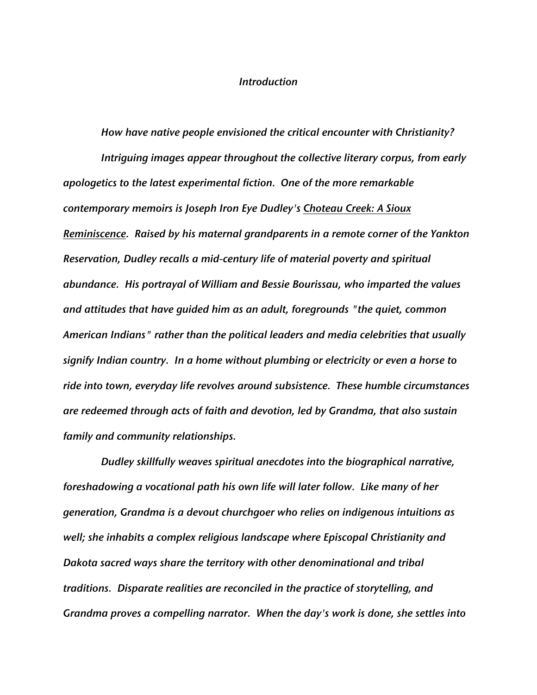## *Introduction*

*How have native people envisioned the critical encounter with Christianity? Intriguing images appear throughout the collective literary corpus, from early apologetics to the latest experimental fiction. One of the more remarkable contemporary memoirs is Joseph Iron Eye Dudley's Choteau Creek: A Sioux Reminiscence. Raised by his maternal grandparents in a remote corner of the Yankton Reservation, Dudley recalls a mid-century life of material poverty and spiritual abundance. His portrayal of William and Bessie Bourissau, who imparted the values and attitudes that have guided him as an adult, foregrounds "the quiet, common American Indians" rather than the political leaders and media celebrities that usually signify Indian country. In a home without plumbing or electricity or even a horse to ride into town, everyday life revolves around subsistence. These humble circumstances are redeemed through acts of faith and devotion, led by Grandma, that also sustain family and community relationships.*

*Dudley skillfully weaves spiritual anecdotes into the biographical narrative, foreshadowing a vocational path his own life will later follow. Like many of her generation, Grandma is a devout churchgoer who relies on indigenous intuitions as well; she inhabits a complex religious landscape where Episcopal Christianity and Dakota sacred ways share the territory with other denominational and tribal traditions. Disparate realities are reconciled in the practice of storytelling, and Grandma proves a compelling narrator. When the day's work is done, she settles into*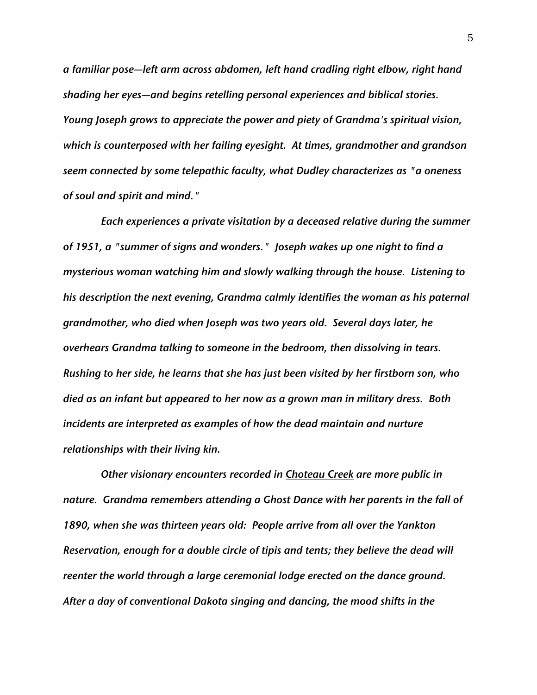*a familiar pose—left arm across abdomen, left hand cradling right elbow, right hand shading her eyes—and begins retelling personal experiences and biblical stories. Young Joseph grows to appreciate the power and piety of Grandma's spiritual vision, which is counterposed with her failing eyesight. At times, grandmother and grandson seem connected by some telepathic faculty, what Dudley characterizes as "a oneness of soul and spirit and mind."*

*Each experiences a private visitation by a deceased relative during the summer of 1951, a "summer of signs and wonders." Joseph wakes up one night to find a mysterious woman watching him and slowly walking through the house. Listening to his description the next evening, Grandma calmly identifies the woman as his paternal grandmother, who died when Joseph was two years old. Several days later, he overhears Grandma talking to someone in the bedroom, then dissolving in tears. Rushing to her side, he learns that she has just been visited by her firstborn son, who died as an infant but appeared to her now as a grown man in military dress. Both incidents are interpreted as examples of how the dead maintain and nurture relationships with their living kin.*

*Other visionary encounters recorded in Choteau Creek are more public in nature. Grandma remembers attending a Ghost Dance with her parents in the fall of 1890, when she was thirteen years old: People arrive from all over the Yankton Reservation, enough for a double circle of tipis and tents; they believe the dead will reenter the world through a large ceremonial lodge erected on the dance ground. After a day of conventional Dakota singing and dancing, the mood shifts in the*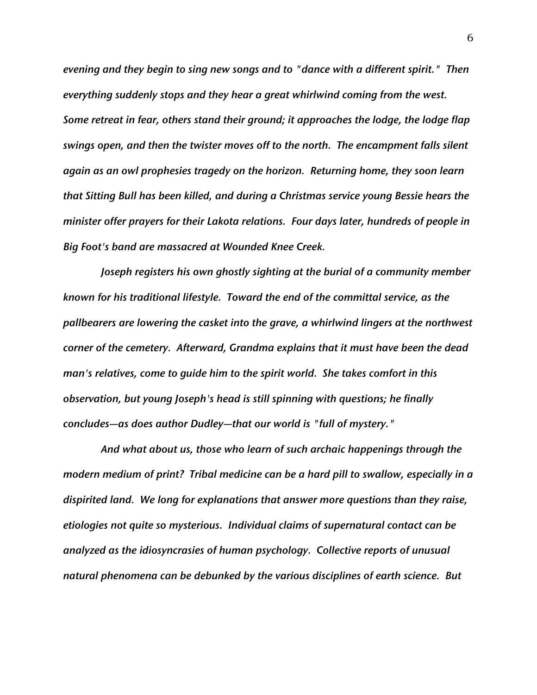*evening and they begin to sing new songs and to "dance with a different spirit." Then everything suddenly stops and they hear a great whirlwind coming from the west. Some retreat in fear, others stand their ground; it approaches the lodge, the lodge flap swings open, and then the twister moves off to the north. The encampment falls silent again as an owl prophesies tragedy on the horizon. Returning home, they soon learn that Sitting Bull has been killed, and during a Christmas service young Bessie hears the minister offer prayers for their Lakota relations. Four days later, hundreds of people in Big Foot's band are massacred at Wounded Knee Creek.*

*Joseph registers his own ghostly sighting at the burial of a community member known for his traditional lifestyle. Toward the end of the committal service, as the pallbearers are lowering the casket into the grave, a whirlwind lingers at the northwest corner of the cemetery. Afterward, Grandma explains that it must have been the dead man's relatives, come to guide him to the spirit world. She takes comfort in this observation, but young Joseph's head is still spinning with questions; he finally concludes—as does author Dudley—that our world is "full of mystery."*

*And what about us, those who learn of such archaic happenings through the modern medium of print? Tribal medicine can be a hard pill to swallow, especially in a dispirited land. We long for explanations that answer more questions than they raise, etiologies not quite so mysterious. Individual claims of supernatural contact can be analyzed as the idiosyncrasies of human psychology. Collective reports of unusual natural phenomena can be debunked by the various disciplines of earth science. But*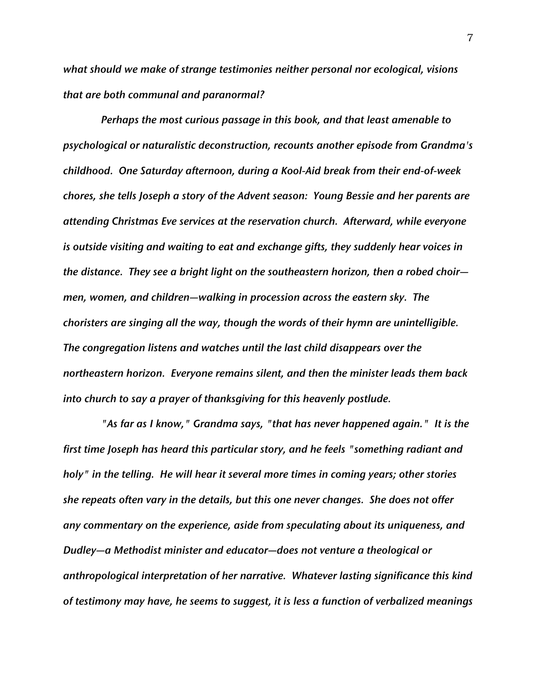*what should we make of strange testimonies neither personal nor ecological, visions that are both communal and paranormal?*

*Perhaps the most curious passage in this book, and that least amenable to psychological or naturalistic deconstruction, recounts another episode from Grandma's childhood. One Saturday afternoon, during a Kool-Aid break from their end-of-week chores, she tells Joseph a story of the Advent season: Young Bessie and her parents are attending Christmas Eve services at the reservation church. Afterward, while everyone is outside visiting and waiting to eat and exchange gifts, they suddenly hear voices in the distance. They see a bright light on the southeastern horizon, then a robed choir men, women, and children—walking in procession across the eastern sky. The choristers are singing all the way, though the words of their hymn are unintelligible. The congregation listens and watches until the last child disappears over the northeastern horizon. Everyone remains silent, and then the minister leads them back into church to say a prayer of thanksgiving for this heavenly postlude.*

*"As far as I know," Grandma says, "that has never happened again." It is the first time Joseph has heard this particular story, and he feels "something radiant and holy" in the telling. He will hear it several more times in coming years; other stories she repeats often vary in the details, but this one never changes. She does not offer any commentary on the experience, aside from speculating about its uniqueness, and Dudley—a Methodist minister and educator—does not venture a theological or anthropological interpretation of her narrative. Whatever lasting significance this kind of testimony may have, he seems to suggest, it is less a function of verbalized meanings*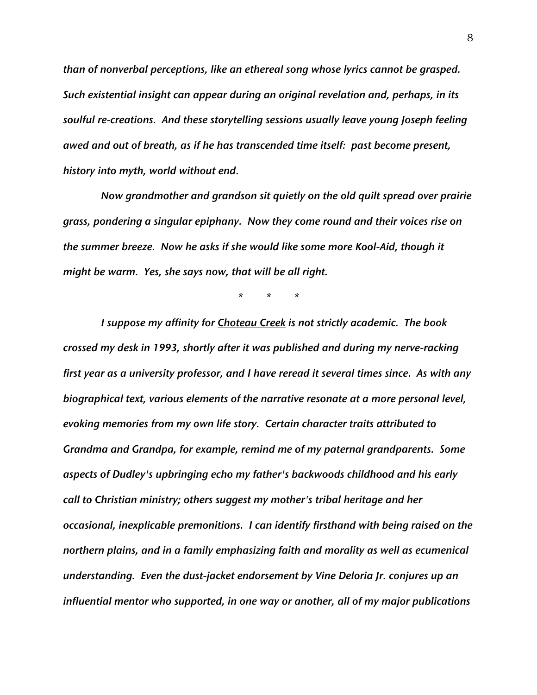*than of nonverbal perceptions, like an ethereal song whose lyrics cannot be grasped. Such existential insight can appear during an original revelation and, perhaps, in its soulful re-creations. And these storytelling sessions usually leave young Joseph feeling awed and out of breath, as if he has transcended time itself: past become present, history into myth, world without end.*

*Now grandmother and grandson sit quietly on the old quilt spread over prairie grass, pondering a singular epiphany. Now they come round and their voices rise on the summer breeze. Now he asks if she would like some more Kool-Aid, though it might be warm. Yes, she says now, that will be all right.*

*\* \* \**

*I suppose my affinity for Choteau Creek is not strictly academic. The book crossed my desk in 1993, shortly after it was published and during my nerve-racking first year as a university professor, and I have reread it several times since. As with any biographical text, various elements of the narrative resonate at a more personal level, evoking memories from my own life story. Certain character traits attributed to Grandma and Grandpa, for example, remind me of my paternal grandparents. Some aspects of Dudley's upbringing echo my father's backwoods childhood and his early call to Christian ministry; others suggest my mother's tribal heritage and her occasional, inexplicable premonitions. I can identify firsthand with being raised on the northern plains, and in a family emphasizing faith and morality as well as ecumenical understanding. Even the dust-jacket endorsement by Vine Deloria Jr. conjures up an influential mentor who supported, in one way or another, all of my major publications*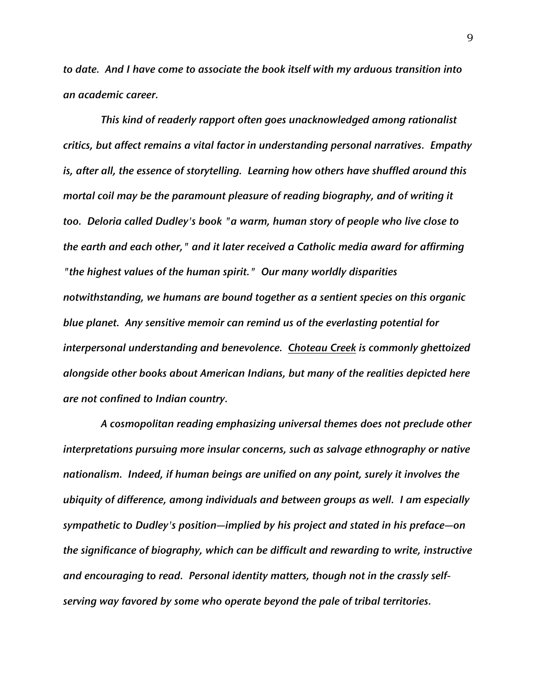*to date. And I have come to associate the book itself with my arduous transition into an academic career.*

*This kind of readerly rapport often goes unacknowledged among rationalist critics, but affect remains a vital factor in understanding personal narratives. Empathy is, after all, the essence of storytelling. Learning how others have shuffled around this mortal coil may be the paramount pleasure of reading biography, and of writing it too. Deloria called Dudley's book "a warm, human story of people who live close to the earth and each other," and it later received a Catholic media award for affirming "the highest values of the human spirit." Our many worldly disparities notwithstanding, we humans are bound together as a sentient species on this organic blue planet. Any sensitive memoir can remind us of the everlasting potential for interpersonal understanding and benevolence. Choteau Creek is commonly ghettoized alongside other books about American Indians, but many of the realities depicted here are not confined to Indian country.*

*A cosmopolitan reading emphasizing universal themes does not preclude other interpretations pursuing more insular concerns, such as salvage ethnography or native nationalism. Indeed, if human beings are unified on any point, surely it involves the ubiquity of difference, among individuals and between groups as well. I am especially sympathetic to Dudley's position—implied by his project and stated in his preface—on the significance of biography, which can be difficult and rewarding to write, instructive and encouraging to read. Personal identity matters, though not in the crassly selfserving way favored by some who operate beyond the pale of tribal territories.*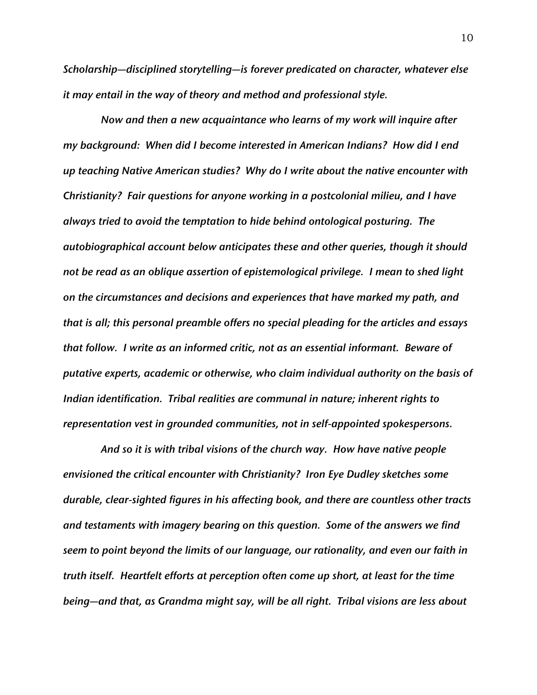*Scholarship—disciplined storytelling—is forever predicated on character, whatever else it may entail in the way of theory and method and professional style.*

*Now and then a new acquaintance who learns of my work will inquire after my background: When did I become interested in American Indians? How did I end up teaching Native American studies? Why do I write about the native encounter with Christianity? Fair questions for anyone working in a postcolonial milieu, and I have always tried to avoid the temptation to hide behind ontological posturing. The autobiographical account below anticipates these and other queries, though it should not be read as an oblique assertion of epistemological privilege. I mean to shed light on the circumstances and decisions and experiences that have marked my path, and that is all; this personal preamble offers no special pleading for the articles and essays that follow. I write as an informed critic, not as an essential informant. Beware of putative experts, academic or otherwise, who claim individual authority on the basis of Indian identification. Tribal realities are communal in nature; inherent rights to representation vest in grounded communities, not in self-appointed spokespersons.*

*And so it is with tribal visions of the church way. How have native people envisioned the critical encounter with Christianity? Iron Eye Dudley sketches some durable, clear-sighted figures in his affecting book, and there are countless other tracts and testaments with imagery bearing on this question. Some of the answers we find seem to point beyond the limits of our language, our rationality, and even our faith in truth itself. Heartfelt efforts at perception often come up short, at least for the time being—and that, as Grandma might say, will be all right. Tribal visions are less about*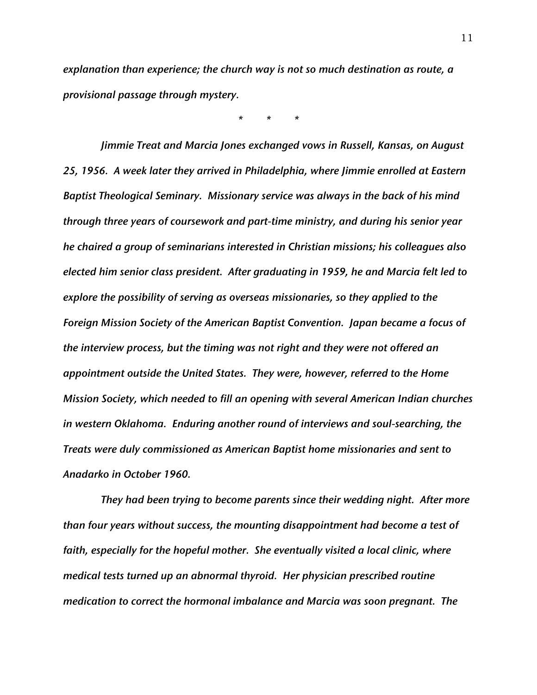*explanation than experience; the church way is not so much destination as route, a provisional passage through mystery.*

*\* \* \**

*Jimmie Treat and Marcia Jones exchanged vows in Russell, Kansas, on August 25, 1956. A week later they arrived in Philadelphia, where Jimmie enrolled at Eastern Baptist Theological Seminary. Missionary service was always in the back of his mind through three years of coursework and part-time ministry, and during his senior year he chaired a group of seminarians interested in Christian missions; his colleagues also elected him senior class president. After graduating in 1959, he and Marcia felt led to explore the possibility of serving as overseas missionaries, so they applied to the Foreign Mission Society of the American Baptist Convention. Japan became a focus of the interview process, but the timing was not right and they were not offered an appointment outside the United States. They were, however, referred to the Home Mission Society, which needed to fill an opening with several American Indian churches in western Oklahoma. Enduring another round of interviews and soul-searching, the Treats were duly commissioned as American Baptist home missionaries and sent to Anadarko in October 1960.*

*They had been trying to become parents since their wedding night. After more than four years without success, the mounting disappointment had become a test of faith, especially for the hopeful mother. She eventually visited a local clinic, where medical tests turned up an abnormal thyroid. Her physician prescribed routine medication to correct the hormonal imbalance and Marcia was soon pregnant. The*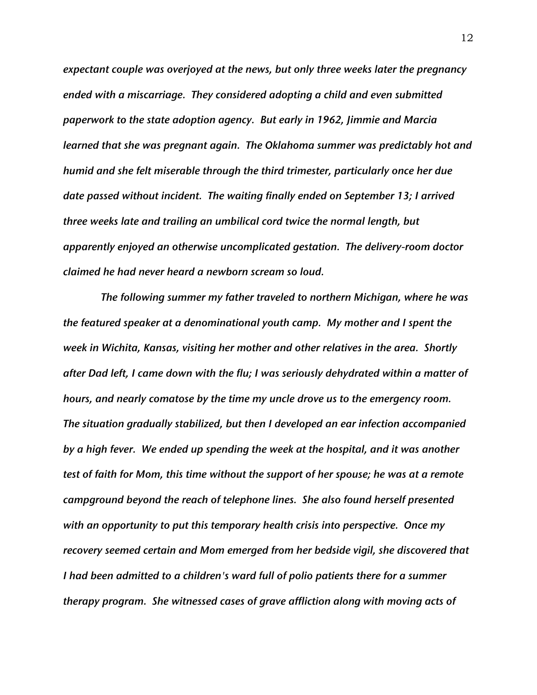*expectant couple was overjoyed at the news, but only three weeks later the pregnancy ended with a miscarriage. They considered adopting a child and even submitted paperwork to the state adoption agency. But early in 1962, Jimmie and Marcia learned that she was pregnant again. The Oklahoma summer was predictably hot and humid and she felt miserable through the third trimester, particularly once her due date passed without incident. The waiting finally ended on September 13; I arrived three weeks late and trailing an umbilical cord twice the normal length, but apparently enjoyed an otherwise uncomplicated gestation. The delivery-room doctor claimed he had never heard a newborn scream so loud.*

*The following summer my father traveled to northern Michigan, where he was the featured speaker at a denominational youth camp. My mother and I spent the week in Wichita, Kansas, visiting her mother and other relatives in the area. Shortly after Dad left, I came down with the flu; I was seriously dehydrated within a matter of hours, and nearly comatose by the time my uncle drove us to the emergency room. The situation gradually stabilized, but then I developed an ear infection accompanied by a high fever. We ended up spending the week at the hospital, and it was another test of faith for Mom, this time without the support of her spouse; he was at a remote campground beyond the reach of telephone lines. She also found herself presented with an opportunity to put this temporary health crisis into perspective. Once my recovery seemed certain and Mom emerged from her bedside vigil, she discovered that I had been admitted to a children's ward full of polio patients there for a summer therapy program. She witnessed cases of grave affliction along with moving acts of*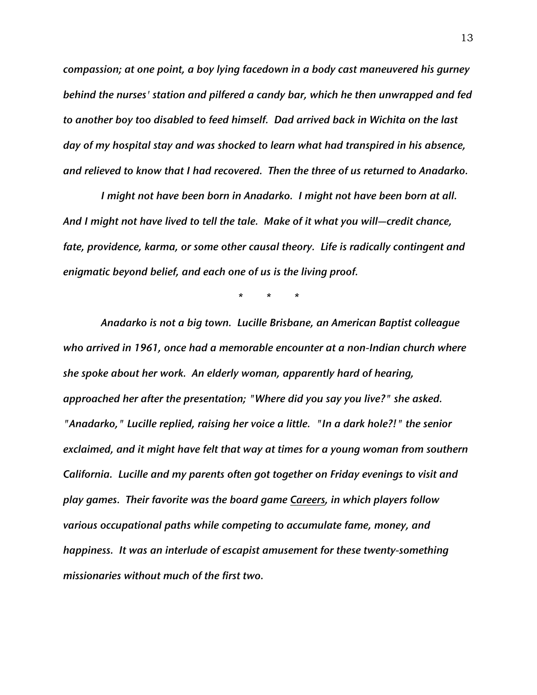*compassion; at one point, a boy lying facedown in a body cast maneuvered his gurney behind the nurses' station and pilfered a candy bar, which he then unwrapped and fed to another boy too disabled to feed himself. Dad arrived back in Wichita on the last day of my hospital stay and was shocked to learn what had transpired in his absence, and relieved to know that I had recovered. Then the three of us returned to Anadarko.*

*I might not have been born in Anadarko. I might not have been born at all. And I might not have lived to tell the tale. Make of it what you will—credit chance, fate, providence, karma, or some other causal theory. Life is radically contingent and enigmatic beyond belief, and each one of us is the living proof.*

*\* \* \**

*Anadarko is not a big town. Lucille Brisbane, an American Baptist colleague who arrived in 1961, once had a memorable encounter at a non-Indian church where she spoke about her work. An elderly woman, apparently hard of hearing, approached her after the presentation; "Where did you say you live?" she asked. "Anadarko," Lucille replied, raising her voice a little. "In a dark hole?!" the senior exclaimed, and it might have felt that way at times for a young woman from southern California. Lucille and my parents often got together on Friday evenings to visit and play games. Their favorite was the board game Careers, in which players follow various occupational paths while competing to accumulate fame, money, and happiness. It was an interlude of escapist amusement for these twenty-something missionaries without much of the first two.*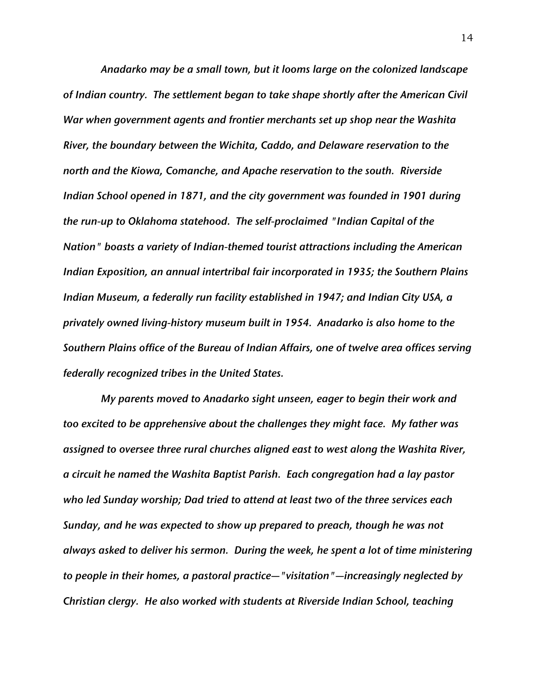*Anadarko may be a small town, but it looms large on the colonized landscape of Indian country. The settlement began to take shape shortly after the American Civil War when government agents and frontier merchants set up shop near the Washita River, the boundary between the Wichita, Caddo, and Delaware reservation to the north and the Kiowa, Comanche, and Apache reservation to the south. Riverside Indian School opened in 1871, and the city government was founded in 1901 during the run-up to Oklahoma statehood. The self-proclaimed "Indian Capital of the Nation" boasts a variety of Indian-themed tourist attractions including the American Indian Exposition, an annual intertribal fair incorporated in 1935; the Southern Plains Indian Museum, a federally run facility established in 1947; and Indian City USA, a privately owned living-history museum built in 1954. Anadarko is also home to the Southern Plains office of the Bureau of Indian Affairs, one of twelve area offices serving federally recognized tribes in the United States.*

*My parents moved to Anadarko sight unseen, eager to begin their work and too excited to be apprehensive about the challenges they might face. My father was assigned to oversee three rural churches aligned east to west along the Washita River, a circuit he named the Washita Baptist Parish. Each congregation had a lay pastor who led Sunday worship; Dad tried to attend at least two of the three services each Sunday, and he was expected to show up prepared to preach, though he was not always asked to deliver his sermon. During the week, he spent a lot of time ministering to people in their homes, a pastoral practice—"visitation"—increasingly neglected by Christian clergy. He also worked with students at Riverside Indian School, teaching*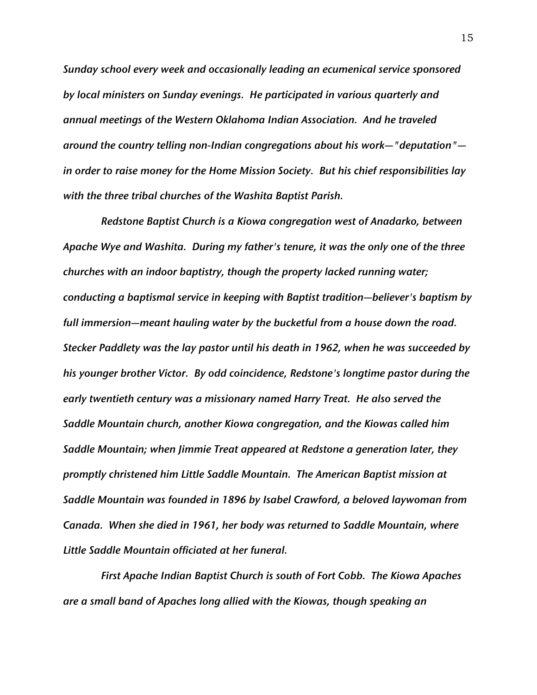*Sunday school every week and occasionally leading an ecumenical service sponsored by local ministers on Sunday evenings. He participated in various quarterly and annual meetings of the Western Oklahoma Indian Association. And he traveled around the country telling non-Indian congregations about his work—"deputation" in order to raise money for the Home Mission Society. But his chief responsibilities lay with the three tribal churches of the Washita Baptist Parish.*

*Redstone Baptist Church is a Kiowa congregation west of Anadarko, between Apache Wye and Washita. During my father's tenure, it was the only one of the three churches with an indoor baptistry, though the property lacked running water; conducting a baptismal service in keeping with Baptist tradition—believer's baptism by full immersion—meant hauling water by the bucketful from a house down the road. Stecker Paddlety was the lay pastor until his death in 1962, when he was succeeded by his younger brother Victor. By odd coincidence, Redstone's longtime pastor during the early twentieth century was a missionary named Harry Treat. He also served the Saddle Mountain church, another Kiowa congregation, and the Kiowas called him Saddle Mountain; when Jimmie Treat appeared at Redstone a generation later, they promptly christened him Little Saddle Mountain. The American Baptist mission at Saddle Mountain was founded in 1896 by Isabel Crawford, a beloved laywoman from Canada. When she died in 1961, her body was returned to Saddle Mountain, where Little Saddle Mountain officiated at her funeral.*

*First Apache Indian Baptist Church is south of Fort Cobb. The Kiowa Apaches are a small band of Apaches long allied with the Kiowas, though speaking an*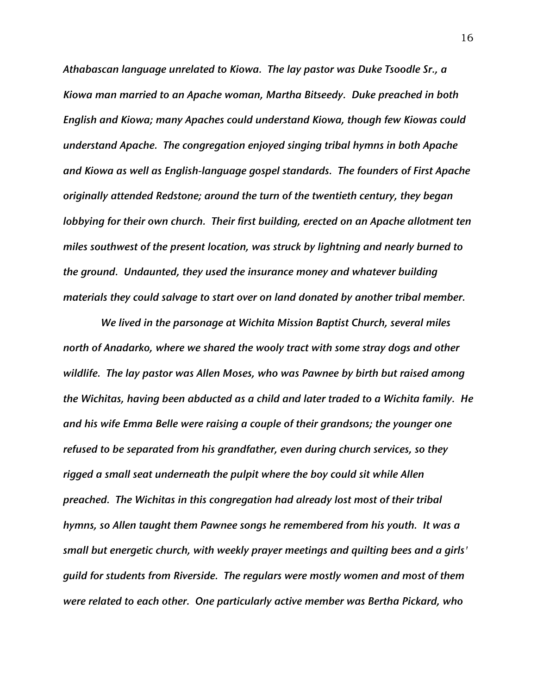*Athabascan language unrelated to Kiowa. The lay pastor was Duke Tsoodle Sr., a Kiowa man married to an Apache woman, Martha Bitseedy. Duke preached in both English and Kiowa; many Apaches could understand Kiowa, though few Kiowas could understand Apache. The congregation enjoyed singing tribal hymns in both Apache and Kiowa as well as English-language gospel standards. The founders of First Apache originally attended Redstone; around the turn of the twentieth century, they began lobbying for their own church. Their first building, erected on an Apache allotment ten miles southwest of the present location, was struck by lightning and nearly burned to the ground. Undaunted, they used the insurance money and whatever building materials they could salvage to start over on land donated by another tribal member.* 

*We lived in the parsonage at Wichita Mission Baptist Church, several miles north of Anadarko, where we shared the wooly tract with some stray dogs and other wildlife. The lay pastor was Allen Moses, who was Pawnee by birth but raised among the Wichitas, having been abducted as a child and later traded to a Wichita family. He and his wife Emma Belle were raising a couple of their grandsons; the younger one refused to be separated from his grandfather, even during church services, so they rigged a small seat underneath the pulpit where the boy could sit while Allen preached. The Wichitas in this congregation had already lost most of their tribal hymns, so Allen taught them Pawnee songs he remembered from his youth. It was a small but energetic church, with weekly prayer meetings and quilting bees and a girls' guild for students from Riverside. The regulars were mostly women and most of them were related to each other. One particularly active member was Bertha Pickard, who*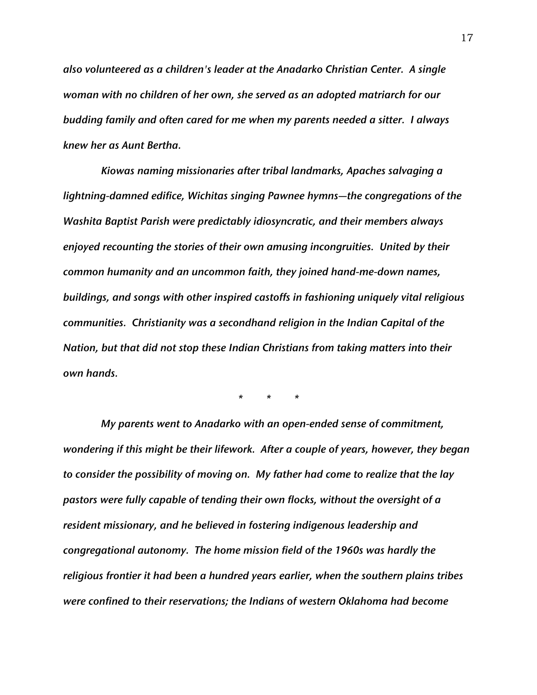*also volunteered as a children's leader at the Anadarko Christian Center. A single woman with no children of her own, she served as an adopted matriarch for our budding family and often cared for me when my parents needed a sitter. I always knew her as Aunt Bertha.*

*Kiowas naming missionaries after tribal landmarks, Apaches salvaging a lightning-damned edifice, Wichitas singing Pawnee hymns—the congregations of the Washita Baptist Parish were predictably idiosyncratic, and their members always enjoyed recounting the stories of their own amusing incongruities. United by their common humanity and an uncommon faith, they joined hand-me-down names, buildings, and songs with other inspired castoffs in fashioning uniquely vital religious communities. Christianity was a secondhand religion in the Indian Capital of the Nation, but that did not stop these Indian Christians from taking matters into their own hands.*

*\* \* \**

*My parents went to Anadarko with an open-ended sense of commitment, wondering if this might be their lifework. After a couple of years, however, they began to consider the possibility of moving on. My father had come to realize that the lay pastors were fully capable of tending their own flocks, without the oversight of a resident missionary, and he believed in fostering indigenous leadership and congregational autonomy. The home mission field of the 1960s was hardly the religious frontier it had been a hundred years earlier, when the southern plains tribes were confined to their reservations; the Indians of western Oklahoma had become*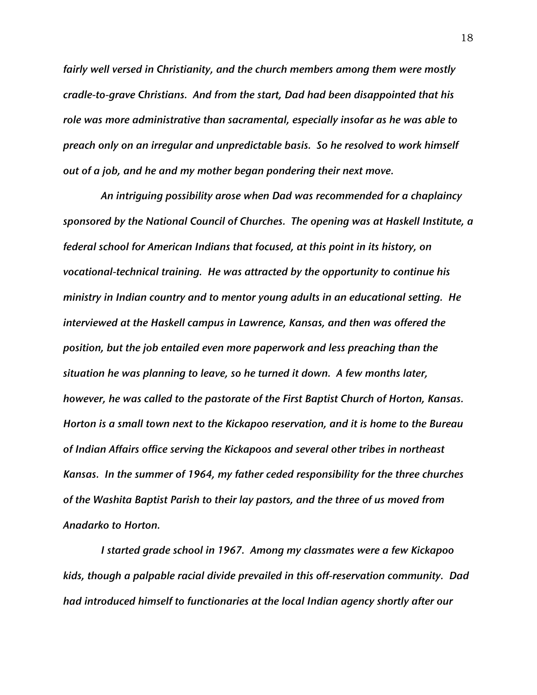*fairly well versed in Christianity, and the church members among them were mostly cradle-to-grave Christians. And from the start, Dad had been disappointed that his role was more administrative than sacramental, especially insofar as he was able to preach only on an irregular and unpredictable basis. So he resolved to work himself out of a job, and he and my mother began pondering their next move.*

*An intriguing possibility arose when Dad was recommended for a chaplaincy sponsored by the National Council of Churches. The opening was at Haskell Institute, a federal school for American Indians that focused, at this point in its history, on vocational-technical training. He was attracted by the opportunity to continue his ministry in Indian country and to mentor young adults in an educational setting. He interviewed at the Haskell campus in Lawrence, Kansas, and then was offered the position, but the job entailed even more paperwork and less preaching than the situation he was planning to leave, so he turned it down. A few months later, however, he was called to the pastorate of the First Baptist Church of Horton, Kansas. Horton is a small town next to the Kickapoo reservation, and it is home to the Bureau of Indian Affairs office serving the Kickapoos and several other tribes in northeast Kansas. In the summer of 1964, my father ceded responsibility for the three churches of the Washita Baptist Parish to their lay pastors, and the three of us moved from Anadarko to Horton.*

*I started grade school in 1967. Among my classmates were a few Kickapoo kids, though a palpable racial divide prevailed in this off-reservation community. Dad had introduced himself to functionaries at the local Indian agency shortly after our*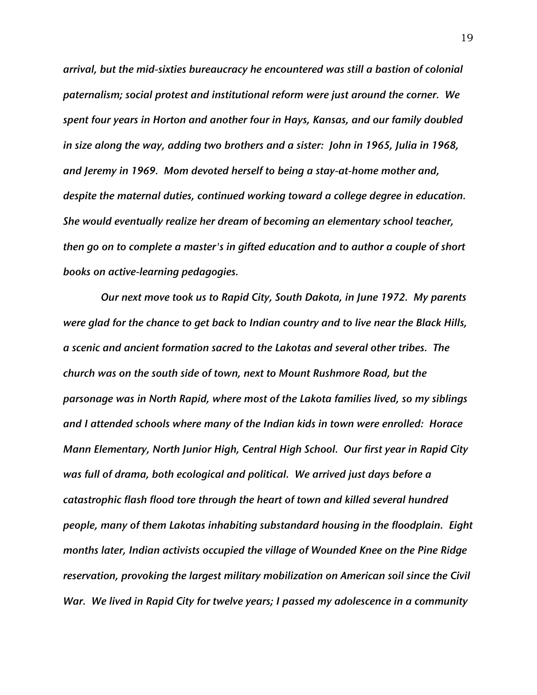*arrival, but the mid-sixties bureaucracy he encountered was still a bastion of colonial paternalism; social protest and institutional reform were just around the corner. We spent four years in Horton and another four in Hays, Kansas, and our family doubled in size along the way, adding two brothers and a sister: John in 1965, Julia in 1968, and Jeremy in 1969. Mom devoted herself to being a stay-at-home mother and, despite the maternal duties, continued working toward a college degree in education. She would eventually realize her dream of becoming an elementary school teacher, then go on to complete a master's in gifted education and to author a couple of short books on active-learning pedagogies.*

*Our next move took us to Rapid City, South Dakota, in June 1972. My parents were glad for the chance to get back to Indian country and to live near the Black Hills, a scenic and ancient formation sacred to the Lakotas and several other tribes. The church was on the south side of town, next to Mount Rushmore Road, but the parsonage was in North Rapid, where most of the Lakota families lived, so my siblings and I attended schools where many of the Indian kids in town were enrolled: Horace Mann Elementary, North Junior High, Central High School. Our first year in Rapid City was full of drama, both ecological and political. We arrived just days before a catastrophic flash flood tore through the heart of town and killed several hundred people, many of them Lakotas inhabiting substandard housing in the floodplain. Eight months later, Indian activists occupied the village of Wounded Knee on the Pine Ridge reservation, provoking the largest military mobilization on American soil since the Civil War. We lived in Rapid City for twelve years; I passed my adolescence in a community*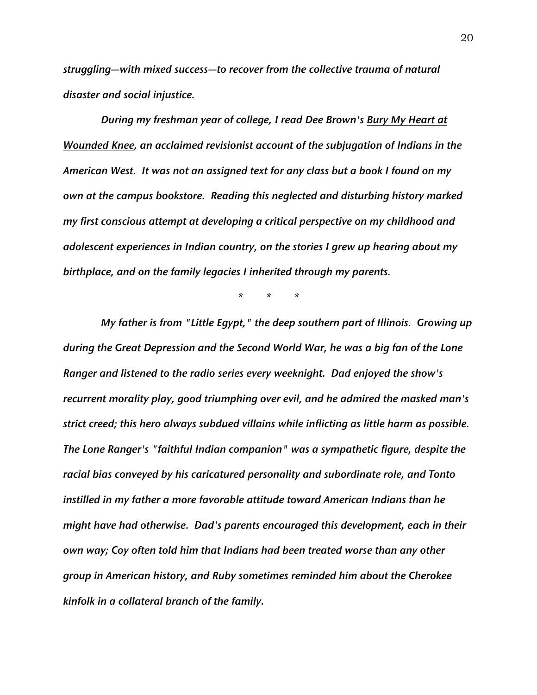*struggling—with mixed success—to recover from the collective trauma of natural disaster and social injustice.*

*During my freshman year of college, I read Dee Brown's Bury My Heart at Wounded Knee, an acclaimed revisionist account of the subjugation of Indians in the American West. It was not an assigned text for any class but a book I found on my own at the campus bookstore. Reading this neglected and disturbing history marked my first conscious attempt at developing a critical perspective on my childhood and adolescent experiences in Indian country, on the stories I grew up hearing about my birthplace, and on the family legacies I inherited through my parents.*

*\* \* \**

*My father is from "Little Egypt," the deep southern part of Illinois. Growing up during the Great Depression and the Second World War, he was a big fan of the Lone Ranger and listened to the radio series every weeknight. Dad enjoyed the show's recurrent morality play, good triumphing over evil, and he admired the masked man's strict creed; this hero always subdued villains while inflicting as little harm as possible. The Lone Ranger's "faithful Indian companion" was a sympathetic figure, despite the racial bias conveyed by his caricatured personality and subordinate role, and Tonto instilled in my father a more favorable attitude toward American Indians than he might have had otherwise. Dad's parents encouraged this development, each in their own way; Coy often told him that Indians had been treated worse than any other group in American history, and Ruby sometimes reminded him about the Cherokee kinfolk in a collateral branch of the family.*

20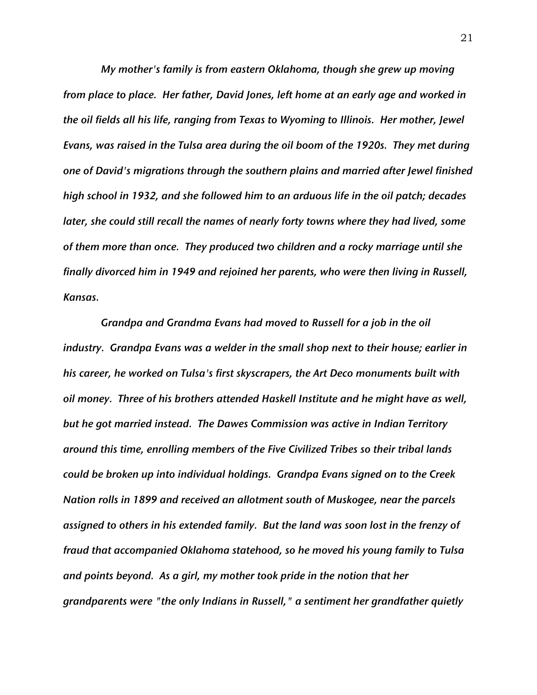*My mother's family is from eastern Oklahoma, though she grew up moving from place to place. Her father, David Jones, left home at an early age and worked in the oil fields all his life, ranging from Texas to Wyoming to Illinois. Her mother, Jewel Evans, was raised in the Tulsa area during the oil boom of the 1920s. They met during one of David's migrations through the southern plains and married after Jewel finished high school in 1932, and she followed him to an arduous life in the oil patch; decades later, she could still recall the names of nearly forty towns where they had lived, some of them more than once. They produced two children and a rocky marriage until she finally divorced him in 1949 and rejoined her parents, who were then living in Russell, Kansas.*

*Grandpa and Grandma Evans had moved to Russell for a job in the oil industry. Grandpa Evans was a welder in the small shop next to their house; earlier in his career, he worked on Tulsa's first skyscrapers, the Art Deco monuments built with oil money. Three of his brothers attended Haskell Institute and he might have as well, but he got married instead. The Dawes Commission was active in Indian Territory around this time, enrolling members of the Five Civilized Tribes so their tribal lands could be broken up into individual holdings. Grandpa Evans signed on to the Creek Nation rolls in 1899 and received an allotment south of Muskogee, near the parcels assigned to others in his extended family. But the land was soon lost in the frenzy of fraud that accompanied Oklahoma statehood, so he moved his young family to Tulsa and points beyond. As a girl, my mother took pride in the notion that her grandparents were "the only Indians in Russell," a sentiment her grandfather quietly*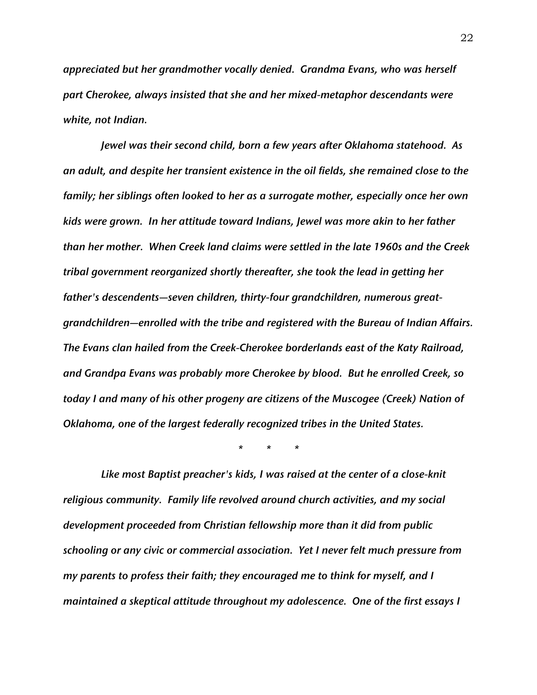*appreciated but her grandmother vocally denied. Grandma Evans, who was herself part Cherokee, always insisted that she and her mixed-metaphor descendants were white, not Indian.*

*Jewel was their second child, born a few years after Oklahoma statehood. As an adult, and despite her transient existence in the oil fields, she remained close to the family; her siblings often looked to her as a surrogate mother, especially once her own kids were grown. In her attitude toward Indians, Jewel was more akin to her father than her mother. When Creek land claims were settled in the late 1960s and the Creek tribal government reorganized shortly thereafter, she took the lead in getting her father's descendents—seven children, thirty-four grandchildren, numerous greatgrandchildren—enrolled with the tribe and registered with the Bureau of Indian Affairs. The Evans clan hailed from the Creek-Cherokee borderlands east of the Katy Railroad, and Grandpa Evans was probably more Cherokee by blood. But he enrolled Creek, so today I and many of his other progeny are citizens of the Muscogee (Creek) Nation of Oklahoma, one of the largest federally recognized tribes in the United States.*

*\* \* \**

*Like most Baptist preacher's kids, I was raised at the center of a close-knit religious community. Family life revolved around church activities, and my social development proceeded from Christian fellowship more than it did from public schooling or any civic or commercial association. Yet I never felt much pressure from my parents to profess their faith; they encouraged me to think for myself, and I maintained a skeptical attitude throughout my adolescence. One of the first essays I*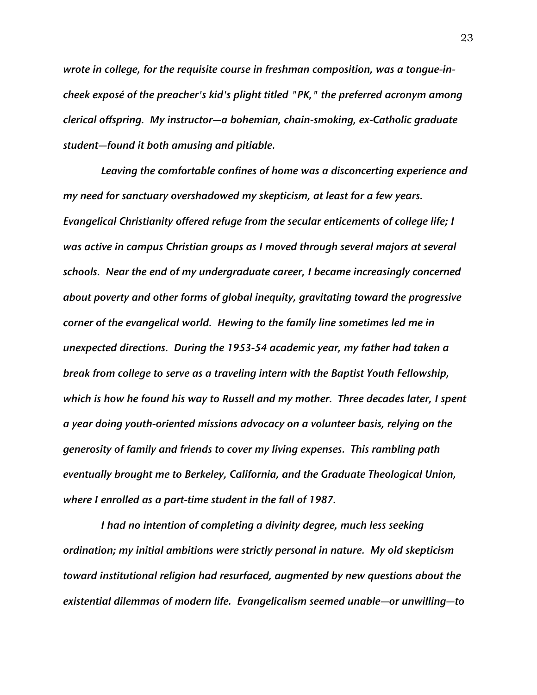*wrote in college, for the requisite course in freshman composition, was a tongue-incheek exposé of the preacher's kid's plight titled "PK," the preferred acronym among clerical offspring. My instructor—a bohemian, chain-smoking, ex-Catholic graduate student—found it both amusing and pitiable.*

*Leaving the comfortable confines of home was a disconcerting experience and my need for sanctuary overshadowed my skepticism, at least for a few years. Evangelical Christianity offered refuge from the secular enticements of college life; I was active in campus Christian groups as I moved through several majors at several schools. Near the end of my undergraduate career, I became increasingly concerned about poverty and other forms of global inequity, gravitating toward the progressive corner of the evangelical world. Hewing to the family line sometimes led me in unexpected directions. During the 1953-54 academic year, my father had taken a break from college to serve as a traveling intern with the Baptist Youth Fellowship, which is how he found his way to Russell and my mother. Three decades later, I spent a year doing youth-oriented missions advocacy on a volunteer basis, relying on the generosity of family and friends to cover my living expenses. This rambling path eventually brought me to Berkeley, California, and the Graduate Theological Union, where I enrolled as a part-time student in the fall of 1987.*

*I had no intention of completing a divinity degree, much less seeking ordination; my initial ambitions were strictly personal in nature. My old skepticism toward institutional religion had resurfaced, augmented by new questions about the existential dilemmas of modern life. Evangelicalism seemed unable—or unwilling—to*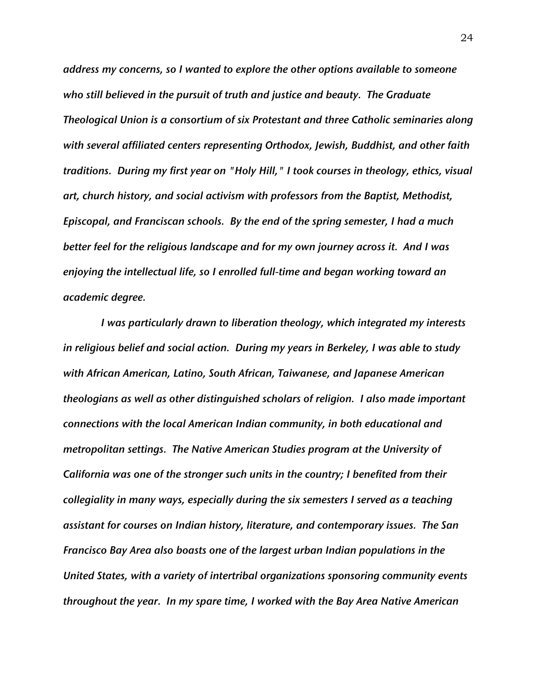*address my concerns, so I wanted to explore the other options available to someone who still believed in the pursuit of truth and justice and beauty. The Graduate Theological Union is a consortium of six Protestant and three Catholic seminaries along with several affiliated centers representing Orthodox, Jewish, Buddhist, and other faith traditions. During my first year on "Holy Hill," I took courses in theology, ethics, visual art, church history, and social activism with professors from the Baptist, Methodist, Episcopal, and Franciscan schools. By the end of the spring semester, I had a much better feel for the religious landscape and for my own journey across it. And I was enjoying the intellectual life, so I enrolled full-time and began working toward an academic degree.*

*I was particularly drawn to liberation theology, which integrated my interests in religious belief and social action. During my years in Berkeley, I was able to study with African American, Latino, South African, Taiwanese, and Japanese American theologians as well as other distinguished scholars of religion. I also made important connections with the local American Indian community, in both educational and metropolitan settings. The Native American Studies program at the University of California was one of the stronger such units in the country; I benefited from their collegiality in many ways, especially during the six semesters I served as a teaching assistant for courses on Indian history, literature, and contemporary issues. The San Francisco Bay Area also boasts one of the largest urban Indian populations in the United States, with a variety of intertribal organizations sponsoring community events throughout the year. In my spare time, I worked with the Bay Area Native American*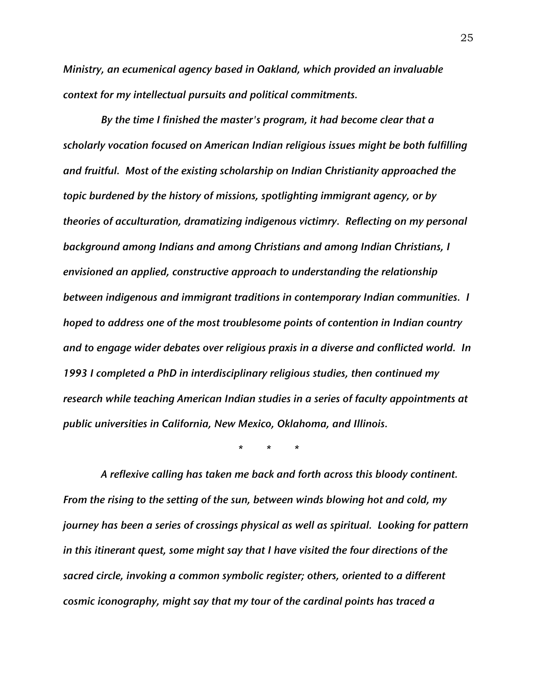*Ministry, an ecumenical agency based in Oakland, which provided an invaluable context for my intellectual pursuits and political commitments.*

*By the time I finished the master's program, it had become clear that a scholarly vocation focused on American Indian religious issues might be both fulfilling and fruitful. Most of the existing scholarship on Indian Christianity approached the topic burdened by the history of missions, spotlighting immigrant agency, or by theories of acculturation, dramatizing indigenous victimry. Reflecting on my personal background among Indians and among Christians and among Indian Christians, I envisioned an applied, constructive approach to understanding the relationship between indigenous and immigrant traditions in contemporary Indian communities. I hoped to address one of the most troublesome points of contention in Indian country and to engage wider debates over religious praxis in a diverse and conflicted world. In 1993 I completed a PhD in interdisciplinary religious studies, then continued my research while teaching American Indian studies in a series of faculty appointments at public universities in California, New Mexico, Oklahoma, and Illinois.*

*\* \* \**

*A reflexive calling has taken me back and forth across this bloody continent. From the rising to the setting of the sun, between winds blowing hot and cold, my journey has been a series of crossings physical as well as spiritual. Looking for pattern in this itinerant quest, some might say that I have visited the four directions of the sacred circle, invoking a common symbolic register; others, oriented to a different cosmic iconography, might say that my tour of the cardinal points has traced a*